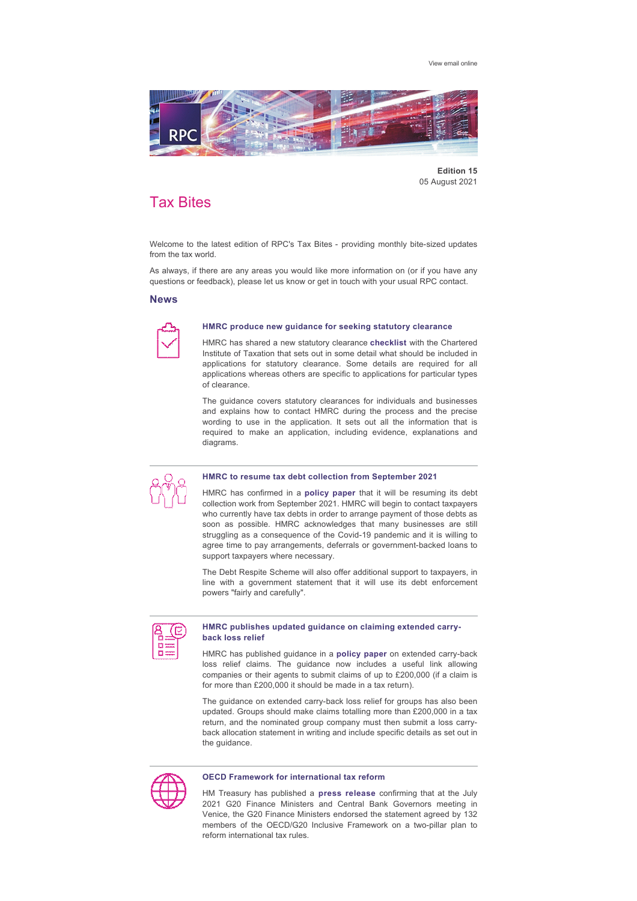[View email online](https://rpc.vuturevx.com/API/Print/Preview/Screen?url=https%3a%2f%2fsites-rpc.vuturevx.com%2f70%2f3238%2fcompose-email%2frpc-tax-bites--monthly-bite-size-updates-from-the-tax-world.asp%3fwidth%3d1024#)



**Edition 15** 05 August 2021

# Tax Bites

Welcome to the latest edition of RPC's Tax Bites - providing monthly bite-sized updates from the tax world.

As always, if there are any areas you would like more information on (or if you have any questions or feedback), please let us know or get in touch with your usual RPC contact.

# **News**



# **HMRC produce new guidance for seeking statutory clearance**

HMRC has shared a new statutory clearance **[checklist](https://www.tax.org.uk/what-to-include-in-statutory-clearance-applications-hmrc-checklist)** with the Chartered Institute of Taxation that sets out in some detail what should be included in applications for statutory clearance. Some details are required for all applications whereas others are specific to applications for particular types of clearance.

The guidance covers statutory clearances for individuals and businesses and explains how to contact HMRC during the process and the precise wording to use in the application. It sets out all the information that is required to make an application, including evidence, explanations and diagrams.



#### **HMRC to resume tax debt collection from September 2021**

HMRC has confirmed in a **[policy paper](https://www.gov.uk/government/publications/hmrc-issue-briefing-collecting-tax-debts-as-we-emerge-from-coronavirus-covid-19/collecting-tax-debts-as-we-emerge-from-coronavirus-covid-19)** that it will be resuming its debt collection work from September 2021. HMRC will begin to contact taxpayers who currently have tax debts in order to arrange payment of those debts as soon as possible. HMRC acknowledges that many businesses are still struggling as a consequence of the Covid-19 pandemic and it is willing to agree time to pay arrangements, deferrals or government-backed loans to support taxpayers where necessary.

The Debt Respite Scheme will also offer additional support to taxpayers, in line with a government statement that it will use its debt enforcement powers "fairly and carefully".

#### **HMRC publishes updated guidance on claiming extended carryback loss relief**

HMRC has published guidance in a **[policy paper](http://www.gov.uk/government/publications/extended-loss-carry-back-for-businesses)** on extended carryback loss relief claims. The quidance now includes a useful link allowing companies or their agents to submit claims of up to £200,000 (if a claim is for more than £200,000 it should be made in a tax return).

The guidance on extended carry-back loss relief for groups has also been updated. Groups should make claims totalling more than £200,000 in a tax return, and the nominated group company must then submit a loss carryback allocation statement in writing and include specific details as set out in the guidance.



#### **OECD Framework for international tax reform**

HM Treasury has published a **[press release](https://www.gov.uk/government/news/chancellor-welcomes-milestone-g20-progress-on-global-tax-reform)** confirming that at the July 2021 G20 Finance Ministers and Central Bank Governors meeting in Venice, the G20 Finance Ministers endorsed the statement agreed by 132 members of the OECD/G20 Inclusive Framework on a two-pillar plan to reform international tax rules.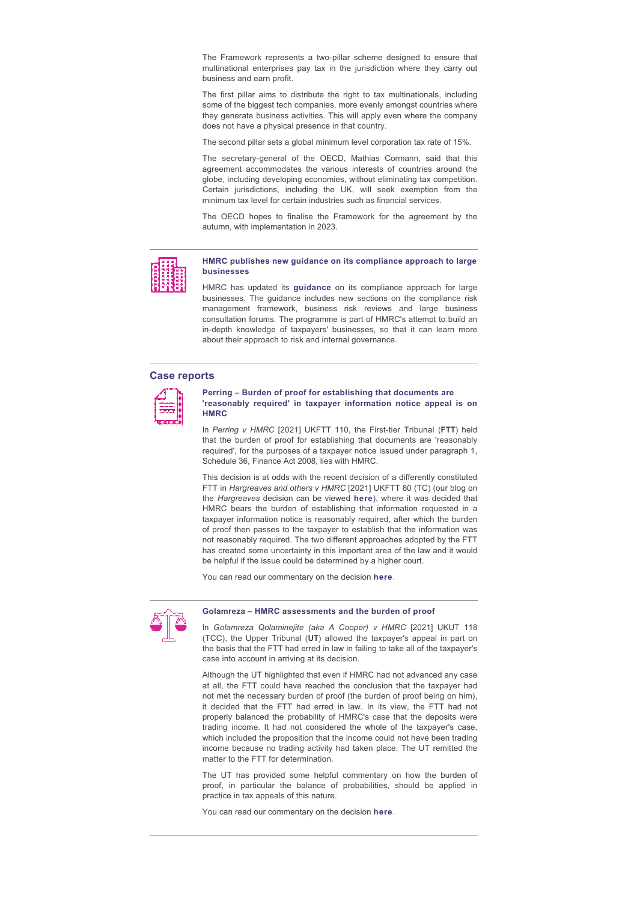The Framework represents a two-pillar scheme designed to ensure that multinational enterprises pay tax in the jurisdiction where they carry out business and earn profit.

The first pillar aims to distribute the right to tax multinationals, including some of the biggest tech companies, more evenly amongst countries where they generate business activities. This will apply even where the company does not have a physical presence in that country.

The second pillar sets a global minimum level corporation tax rate of 15%.

The secretary-general of the OECD, Mathias Cormann, said that this agreement accommodates the various interests of countries around the globe, including developing economies, without eliminating tax competition. Certain jurisdictions, including the UK, will seek exemption from the minimum tax level for certain industries such as financial services.

The OECD hopes to finalise the Framework for the agreement by the autumn, with implementation in 2023.



#### **HMRC publishes new guidance on its compliance approach to large businesses**

HMRC has updated its **[guidance](http://tinyurl.com/rft6rpmz)** on its compliance approach for large businesses. The guidance includes new sections on the compliance risk management framework, business risk reviews and large business consultation forums. The programme is part of HMRC's attempt to build an in-depth knowledge of taxpayers' businesses, so that it can learn more about their approach to risk and internal governance.

## **Case reports**



# **Perring – Burden of proof for establishing that documents are 'reasonably required' in taxpayer information notice appeal is on HMRC**

In Perring v HMRC [2021] UKFTT 110, the First-tier Tribunal (FTT) held that the burden of proof for establishing that documents are 'reasonably required', for the purposes of a taxpayer notice issued under paragraph 1, Schedule 36, Finance Act 2008, lies with HMRC.

This decision is at odds with the recent decision of a differently constituted FTT in *Hargreaves and others v HMRC* [2021] UKFTT 80 (TC) (our blog on the *Hargreaves* decision can be viewed **[here](https://www.rpc.co.uk/perspectives/tax-take/hargreaves-burden-of-proof-on-hmrc-in-taxpayer-information-notice-appeals/)**), where it was decided that HMRC bears the burden of establishing that information requested in a taxpayer information notice is reasonably required, after which the burden of proof then passes to the taxpayer to establish that the information was not reasonably required. The two different approaches adopted by the FTT has created some uncertainty in this important area of the law and it would be helpful if the issue could be determined by a higher court.

You can read our commentary on the decision **[here](https://www.rpc.co.uk/perspectives/tax-take/perring-burden-of-proof-for-establishing-that-documents-are-reasonably-required/)**.



#### **Golamreza – HMRC assessments and the burden of proof**

In *Golamreza Qolaminejite (aka A Cooper) v HMRC* [2021] UKUT 118 (TCC), the Upper Tribunal (**UT**) allowed the taxpayer's appeal in part on the basis that the FTT had erred in law in failing to take all of the taxpayer's case into account in arriving at its decision.

Although the UT highlighted that even if HMRC had not advanced any case at all, the FTT could have reached the conclusion that the taxpayer had not met the necessary burden of proof (the burden of proof being on him), it decided that the FTT had erred in law. In its view, the FTT had not properly balanced the probability of HMRC's case that the deposits were trading income. It had not considered the whole of the taxpayer's case, which included the proposition that the income could not have been trading income because no trading activity had taken place. The UT remitted the matter to the FTT for determination.

The UT has provided some helpful commentary on how the burden of proof, in particular the balance of probabilities, should be applied in practice in tax appeals of this nature.

You can read our commentary on the decision **[here](https://www.rpc.co.uk/perspectives/tax-take/golamreza-hmrc-assessments-and-the-burden-of-proof/)**.